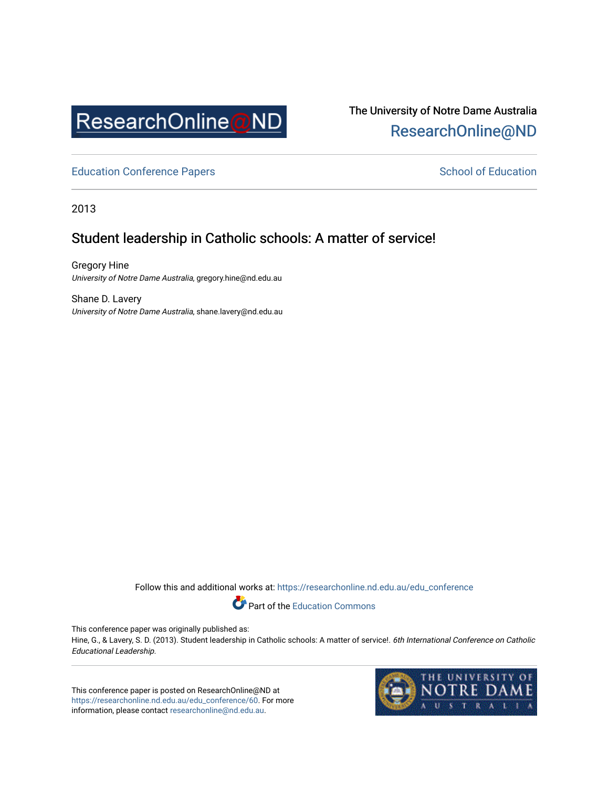

# The University of Notre Dame Australia [ResearchOnline@ND](https://researchonline.nd.edu.au/)

[Education Conference Papers](https://researchonline.nd.edu.au/edu_conference) **School of Education** School of Education

2013

# Student leadership in Catholic schools: A matter of service!

Gregory Hine University of Notre Dame Australia, gregory.hine@nd.edu.au

Shane D. Lavery University of Notre Dame Australia, shane.lavery@nd.edu.au

Follow this and additional works at: [https://researchonline.nd.edu.au/edu\\_conference](https://researchonline.nd.edu.au/edu_conference?utm_source=researchonline.nd.edu.au%2Fedu_conference%2F60&utm_medium=PDF&utm_campaign=PDFCoverPages)

Part of the [Education Commons](http://network.bepress.com/hgg/discipline/784?utm_source=researchonline.nd.edu.au%2Fedu_conference%2F60&utm_medium=PDF&utm_campaign=PDFCoverPages) 

This conference paper was originally published as:

Hine, G., & Lavery, S. D. (2013). Student leadership in Catholic schools: A matter of service!. 6th International Conference on Catholic Educational Leadership.

This conference paper is posted on ResearchOnline@ND at [https://researchonline.nd.edu.au/edu\\_conference/60.](https://researchonline.nd.edu.au/edu_conference/60) For more information, please contact [researchonline@nd.edu.au.](mailto:researchonline@nd.edu.au)

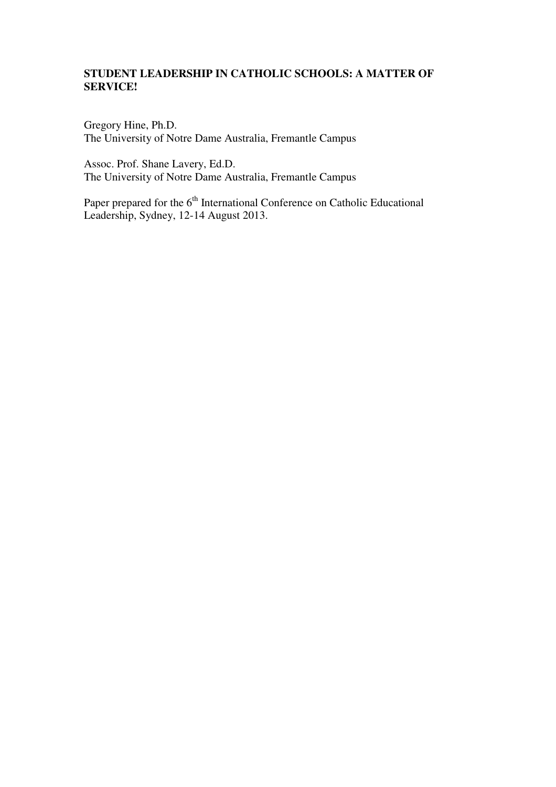# **STUDENT LEADERSHIP IN CATHOLIC SCHOOLS: A MATTER OF SERVICE!**

Gregory Hine, Ph.D. The University of Notre Dame Australia, Fremantle Campus

Assoc. Prof. Shane Lavery, Ed.D. The University of Notre Dame Australia, Fremantle Campus

Paper prepared for the 6<sup>th</sup> International Conference on Catholic Educational Leadership, Sydney, 12-14 August 2013.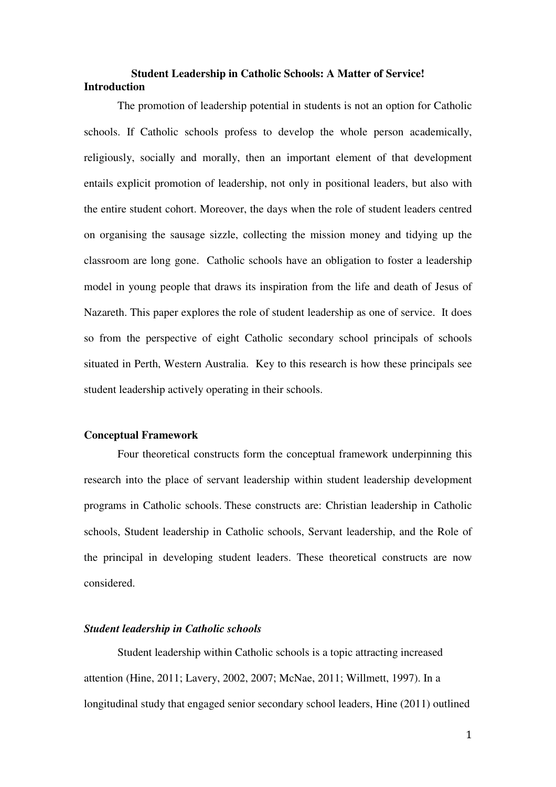# **Student Leadership in Catholic Schools: A Matter of Service! Introduction**

The promotion of leadership potential in students is not an option for Catholic schools. If Catholic schools profess to develop the whole person academically, religiously, socially and morally, then an important element of that development entails explicit promotion of leadership, not only in positional leaders, but also with the entire student cohort. Moreover, the days when the role of student leaders centred on organising the sausage sizzle, collecting the mission money and tidying up the classroom are long gone. Catholic schools have an obligation to foster a leadership model in young people that draws its inspiration from the life and death of Jesus of Nazareth. This paper explores the role of student leadership as one of service. It does so from the perspective of eight Catholic secondary school principals of schools situated in Perth, Western Australia. Key to this research is how these principals see student leadership actively operating in their schools.

#### **Conceptual Framework**

Four theoretical constructs form the conceptual framework underpinning this research into the place of servant leadership within student leadership development programs in Catholic schools. These constructs are: Christian leadership in Catholic schools, Student leadership in Catholic schools, Servant leadership, and the Role of the principal in developing student leaders. These theoretical constructs are now considered.

# *Student leadership in Catholic schools*

Student leadership within Catholic schools is a topic attracting increased attention (Hine, 2011; Lavery, 2002, 2007; McNae, 2011; Willmett, 1997). In a longitudinal study that engaged senior secondary school leaders, Hine (2011) outlined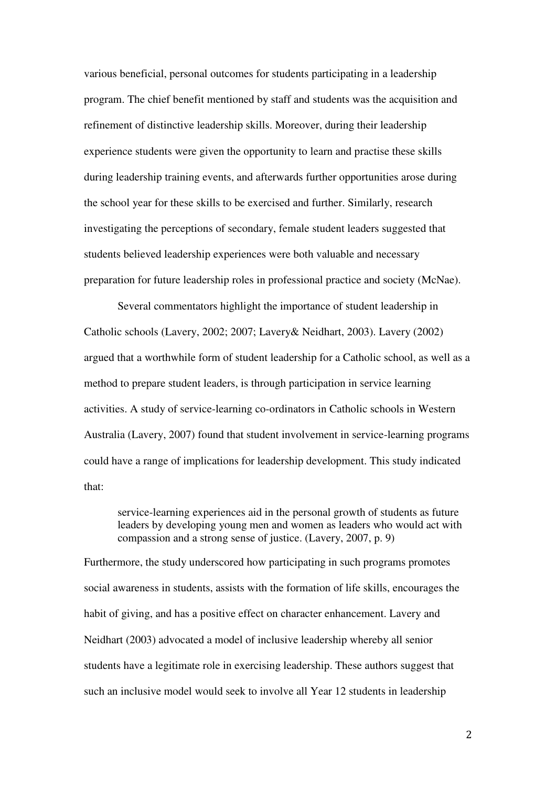various beneficial, personal outcomes for students participating in a leadership program. The chief benefit mentioned by staff and students was the acquisition and refinement of distinctive leadership skills. Moreover, during their leadership experience students were given the opportunity to learn and practise these skills during leadership training events, and afterwards further opportunities arose during the school year for these skills to be exercised and further. Similarly, research investigating the perceptions of secondary, female student leaders suggested that students believed leadership experiences were both valuable and necessary preparation for future leadership roles in professional practice and society (McNae).

Several commentators highlight the importance of student leadership in Catholic schools (Lavery, 2002; 2007; Lavery& Neidhart, 2003). Lavery (2002) argued that a worthwhile form of student leadership for a Catholic school, as well as a method to prepare student leaders, is through participation in service learning activities. A study of service-learning co-ordinators in Catholic schools in Western Australia (Lavery, 2007) found that student involvement in service-learning programs could have a range of implications for leadership development. This study indicated that:

service-learning experiences aid in the personal growth of students as future leaders by developing young men and women as leaders who would act with compassion and a strong sense of justice. (Lavery, 2007, p. 9)

Furthermore, the study underscored how participating in such programs promotes social awareness in students, assists with the formation of life skills, encourages the habit of giving, and has a positive effect on character enhancement. Lavery and Neidhart (2003) advocated a model of inclusive leadership whereby all senior students have a legitimate role in exercising leadership. These authors suggest that such an inclusive model would seek to involve all Year 12 students in leadership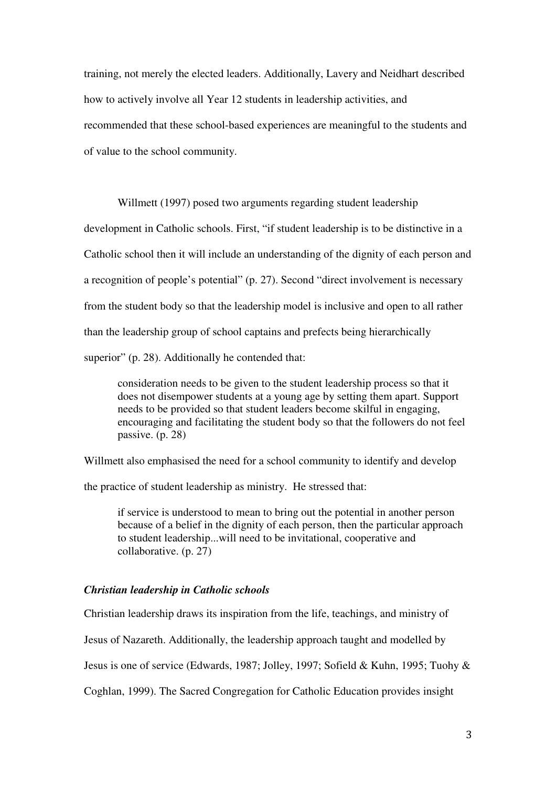training, not merely the elected leaders. Additionally, Lavery and Neidhart described how to actively involve all Year 12 students in leadership activities, and recommended that these school-based experiences are meaningful to the students and of value to the school community.

Willmett (1997) posed two arguments regarding student leadership

development in Catholic schools. First, "if student leadership is to be distinctive in a Catholic school then it will include an understanding of the dignity of each person and a recognition of people's potential" (p. 27). Second "direct involvement is necessary from the student body so that the leadership model is inclusive and open to all rather than the leadership group of school captains and prefects being hierarchically superior" (p. 28). Additionally he contended that:

consideration needs to be given to the student leadership process so that it does not disempower students at a young age by setting them apart. Support needs to be provided so that student leaders become skilful in engaging, encouraging and facilitating the student body so that the followers do not feel passive. (p. 28)

Willmett also emphasised the need for a school community to identify and develop

the practice of student leadership as ministry. He stressed that:

if service is understood to mean to bring out the potential in another person because of a belief in the dignity of each person, then the particular approach to student leadership...will need to be invitational, cooperative and collaborative. (p. 27)

#### *Christian leadership in Catholic schools*

Christian leadership draws its inspiration from the life, teachings, and ministry of

Jesus of Nazareth. Additionally, the leadership approach taught and modelled by

Jesus is one of service (Edwards, 1987; Jolley, 1997; Sofield & Kuhn, 1995; Tuohy &

Coghlan, 1999). The Sacred Congregation for Catholic Education provides insight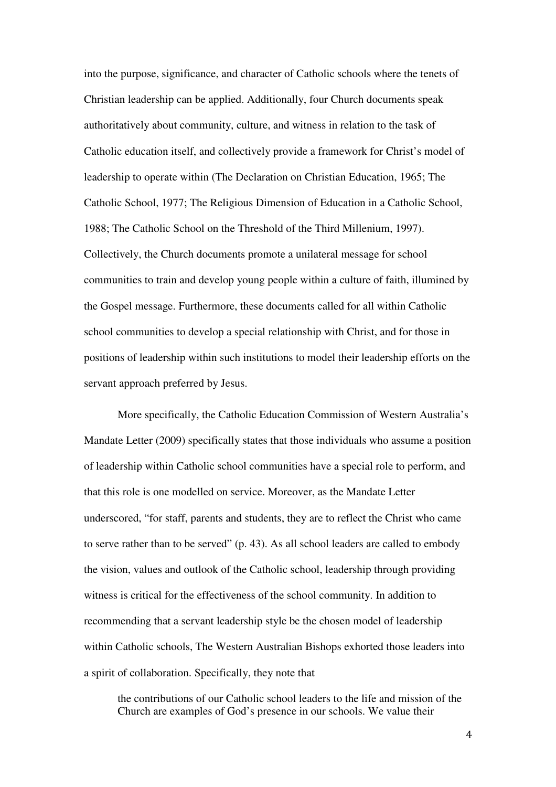into the purpose, significance, and character of Catholic schools where the tenets of Christian leadership can be applied. Additionally, four Church documents speak authoritatively about community, culture, and witness in relation to the task of Catholic education itself, and collectively provide a framework for Christ's model of leadership to operate within (The Declaration on Christian Education, 1965; The Catholic School, 1977; The Religious Dimension of Education in a Catholic School, 1988; The Catholic School on the Threshold of the Third Millenium, 1997). Collectively, the Church documents promote a unilateral message for school communities to train and develop young people within a culture of faith, illumined by the Gospel message. Furthermore, these documents called for all within Catholic school communities to develop a special relationship with Christ, and for those in positions of leadership within such institutions to model their leadership efforts on the servant approach preferred by Jesus.

More specifically, the Catholic Education Commission of Western Australia's Mandate Letter (2009) specifically states that those individuals who assume a position of leadership within Catholic school communities have a special role to perform, and that this role is one modelled on service. Moreover, as the Mandate Letter underscored, "for staff, parents and students, they are to reflect the Christ who came to serve rather than to be served" (p. 43). As all school leaders are called to embody the vision, values and outlook of the Catholic school, leadership through providing witness is critical for the effectiveness of the school community. In addition to recommending that a servant leadership style be the chosen model of leadership within Catholic schools, The Western Australian Bishops exhorted those leaders into a spirit of collaboration. Specifically, they note that

the contributions of our Catholic school leaders to the life and mission of the Church are examples of God's presence in our schools. We value their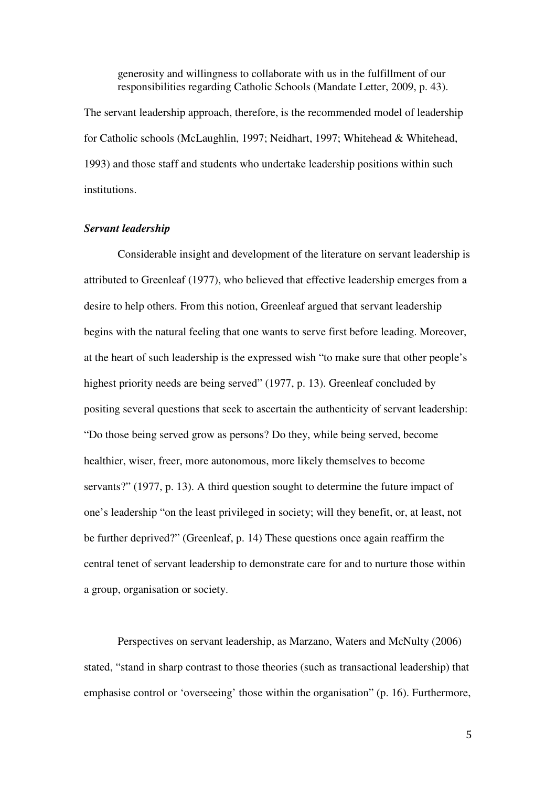generosity and willingness to collaborate with us in the fulfillment of our responsibilities regarding Catholic Schools (Mandate Letter, 2009, p. 43).

The servant leadership approach, therefore, is the recommended model of leadership for Catholic schools (McLaughlin, 1997; Neidhart, 1997; Whitehead & Whitehead, 1993) and those staff and students who undertake leadership positions within such institutions.

# *Servant leadership*

Considerable insight and development of the literature on servant leadership is attributed to Greenleaf (1977), who believed that effective leadership emerges from a desire to help others. From this notion, Greenleaf argued that servant leadership begins with the natural feeling that one wants to serve first before leading. Moreover, at the heart of such leadership is the expressed wish "to make sure that other people's highest priority needs are being served" (1977, p. 13). Greenleaf concluded by positing several questions that seek to ascertain the authenticity of servant leadership: "Do those being served grow as persons? Do they, while being served, become healthier, wiser, freer, more autonomous, more likely themselves to become servants?" (1977, p. 13). A third question sought to determine the future impact of one's leadership "on the least privileged in society; will they benefit, or, at least, not be further deprived?" (Greenleaf, p. 14) These questions once again reaffirm the central tenet of servant leadership to demonstrate care for and to nurture those within a group, organisation or society.

Perspectives on servant leadership, as Marzano, Waters and McNulty (2006) stated, "stand in sharp contrast to those theories (such as transactional leadership) that emphasise control or 'overseeing' those within the organisation" (p. 16). Furthermore,

5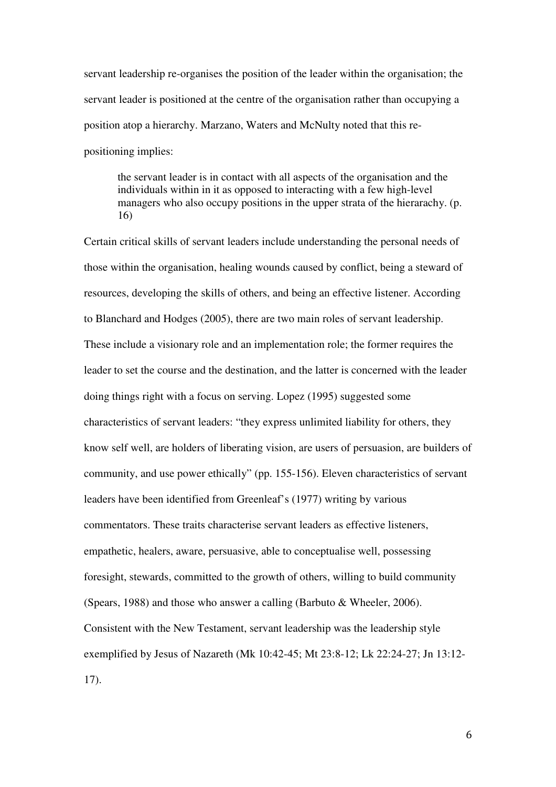servant leadership re-organises the position of the leader within the organisation; the servant leader is positioned at the centre of the organisation rather than occupying a position atop a hierarchy. Marzano, Waters and McNulty noted that this repositioning implies:

the servant leader is in contact with all aspects of the organisation and the individuals within in it as opposed to interacting with a few high-level managers who also occupy positions in the upper strata of the hierarachy. (p. 16)

Certain critical skills of servant leaders include understanding the personal needs of those within the organisation, healing wounds caused by conflict, being a steward of resources, developing the skills of others, and being an effective listener. According to Blanchard and Hodges (2005), there are two main roles of servant leadership. These include a visionary role and an implementation role; the former requires the leader to set the course and the destination, and the latter is concerned with the leader doing things right with a focus on serving. Lopez (1995) suggested some characteristics of servant leaders: "they express unlimited liability for others, they know self well, are holders of liberating vision, are users of persuasion, are builders of community, and use power ethically" (pp. 155-156). Eleven characteristics of servant leaders have been identified from Greenleaf's (1977) writing by various commentators. These traits characterise servant leaders as effective listeners, empathetic, healers, aware, persuasive, able to conceptualise well, possessing foresight, stewards, committed to the growth of others, willing to build community (Spears, 1988) and those who answer a calling (Barbuto & Wheeler, 2006). Consistent with the New Testament, servant leadership was the leadership style exemplified by Jesus of Nazareth (Mk 10:42-45; Mt 23:8-12; Lk 22:24-27; Jn 13:12- 17).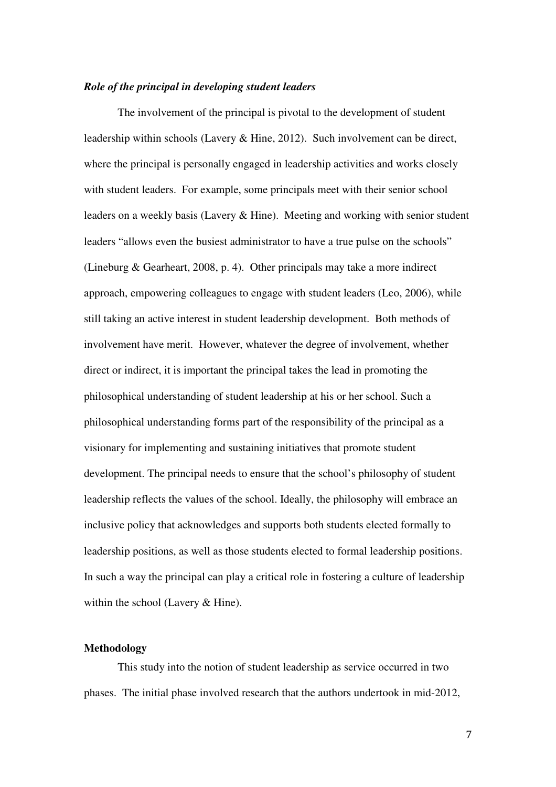### *Role of the principal in developing student leaders*

The involvement of the principal is pivotal to the development of student leadership within schools (Lavery & Hine, 2012). Such involvement can be direct, where the principal is personally engaged in leadership activities and works closely with student leaders. For example, some principals meet with their senior school leaders on a weekly basis (Lavery & Hine). Meeting and working with senior student leaders "allows even the busiest administrator to have a true pulse on the schools" (Lineburg & Gearheart, 2008, p. 4). Other principals may take a more indirect approach, empowering colleagues to engage with student leaders (Leo, 2006), while still taking an active interest in student leadership development. Both methods of involvement have merit. However, whatever the degree of involvement, whether direct or indirect, it is important the principal takes the lead in promoting the philosophical understanding of student leadership at his or her school. Such a philosophical understanding forms part of the responsibility of the principal as a visionary for implementing and sustaining initiatives that promote student development. The principal needs to ensure that the school's philosophy of student leadership reflects the values of the school. Ideally, the philosophy will embrace an inclusive policy that acknowledges and supports both students elected formally to leadership positions, as well as those students elected to formal leadership positions. In such a way the principal can play a critical role in fostering a culture of leadership within the school (Lavery & Hine).

### **Methodology**

This study into the notion of student leadership as service occurred in two phases. The initial phase involved research that the authors undertook in mid-2012,

7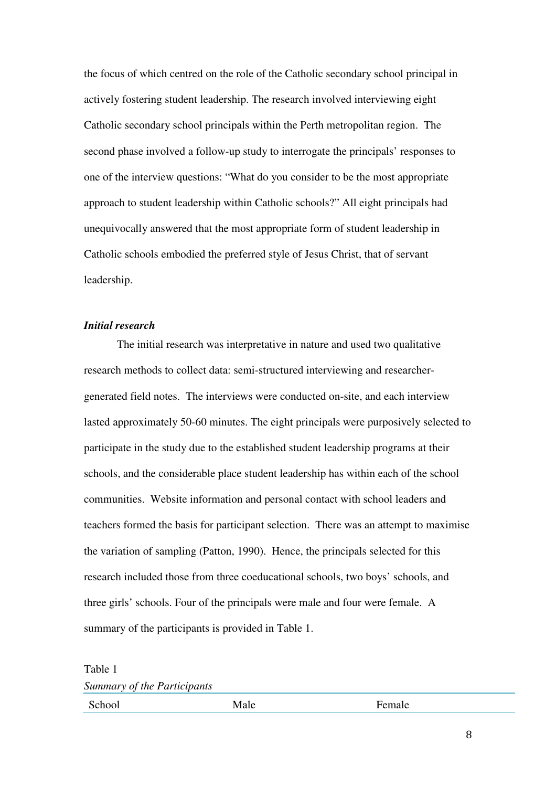the focus of which centred on the role of the Catholic secondary school principal in actively fostering student leadership. The research involved interviewing eight Catholic secondary school principals within the Perth metropolitan region. The second phase involved a follow-up study to interrogate the principals' responses to one of the interview questions: "What do you consider to be the most appropriate approach to student leadership within Catholic schools?" All eight principals had unequivocally answered that the most appropriate form of student leadership in Catholic schools embodied the preferred style of Jesus Christ, that of servant leadership.

# *Initial research*

 The initial research was interpretative in nature and used two qualitative research methods to collect data: semi-structured interviewing and researchergenerated field notes. The interviews were conducted on-site, and each interview lasted approximately 50-60 minutes. The eight principals were purposively selected to participate in the study due to the established student leadership programs at their schools, and the considerable place student leadership has within each of the school communities. Website information and personal contact with school leaders and teachers formed the basis for participant selection. There was an attempt to maximise the variation of sampling (Patton, 1990). Hence, the principals selected for this research included those from three coeducational schools, two boys' schools, and three girls' schools. Four of the principals were male and four were female. A summary of the participants is provided in Table 1.

Table 1 *Summary of the Participants*

School Male Male Female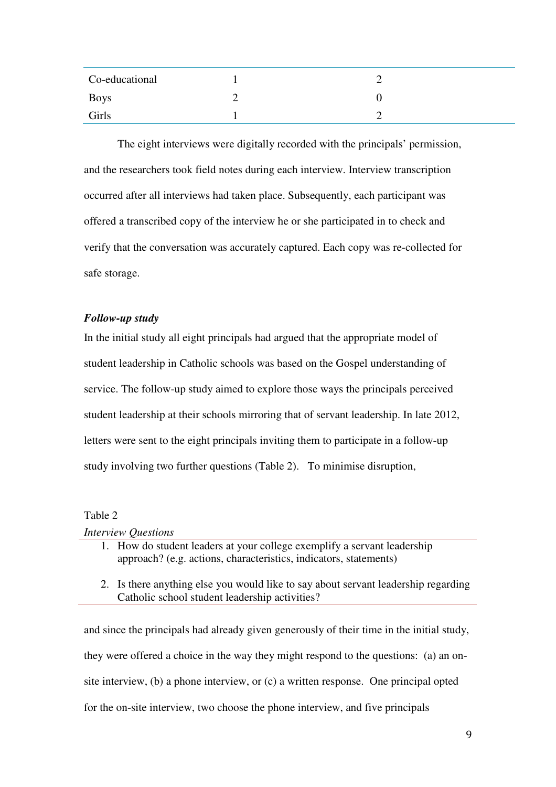| Co-educational |  |
|----------------|--|
| <b>Boys</b>    |  |
| Girls          |  |
|                |  |

The eight interviews were digitally recorded with the principals' permission, and the researchers took field notes during each interview. Interview transcription occurred after all interviews had taken place. Subsequently, each participant was offered a transcribed copy of the interview he or she participated in to check and verify that the conversation was accurately captured. Each copy was re-collected for safe storage.

# *Follow-up study*

In the initial study all eight principals had argued that the appropriate model of student leadership in Catholic schools was based on the Gospel understanding of service. The follow-up study aimed to explore those ways the principals perceived student leadership at their schools mirroring that of servant leadership. In late 2012, letters were sent to the eight principals inviting them to participate in a follow-up study involving two further questions (Table 2). To minimise disruption,

## Table 2

*Interview Questions*

- 1. How do student leaders at your college exemplify a servant leadership approach? (e.g. actions, characteristics, indicators, statements)
- 2. Is there anything else you would like to say about servant leadership regarding Catholic school student leadership activities?

and since the principals had already given generously of their time in the initial study, they were offered a choice in the way they might respond to the questions: (a) an onsite interview, (b) a phone interview, or (c) a written response. One principal opted for the on-site interview, two choose the phone interview, and five principals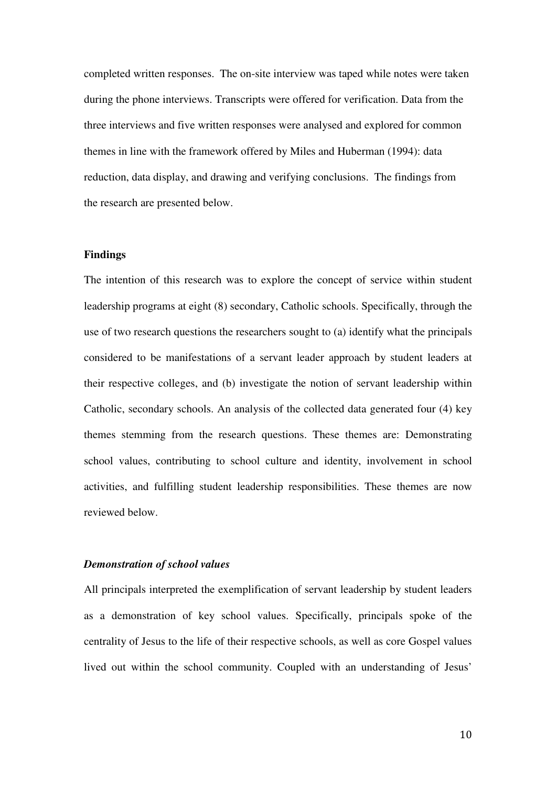completed written responses. The on-site interview was taped while notes were taken during the phone interviews. Transcripts were offered for verification. Data from the three interviews and five written responses were analysed and explored for common themes in line with the framework offered by Miles and Huberman (1994): data reduction, data display, and drawing and verifying conclusions. The findings from the research are presented below.

# **Findings**

The intention of this research was to explore the concept of service within student leadership programs at eight (8) secondary, Catholic schools. Specifically, through the use of two research questions the researchers sought to (a) identify what the principals considered to be manifestations of a servant leader approach by student leaders at their respective colleges, and (b) investigate the notion of servant leadership within Catholic, secondary schools. An analysis of the collected data generated four (4) key themes stemming from the research questions. These themes are: Demonstrating school values, contributing to school culture and identity, involvement in school activities, and fulfilling student leadership responsibilities. These themes are now reviewed below.

# *Demonstration of school values*

All principals interpreted the exemplification of servant leadership by student leaders as a demonstration of key school values. Specifically, principals spoke of the centrality of Jesus to the life of their respective schools, as well as core Gospel values lived out within the school community. Coupled with an understanding of Jesus'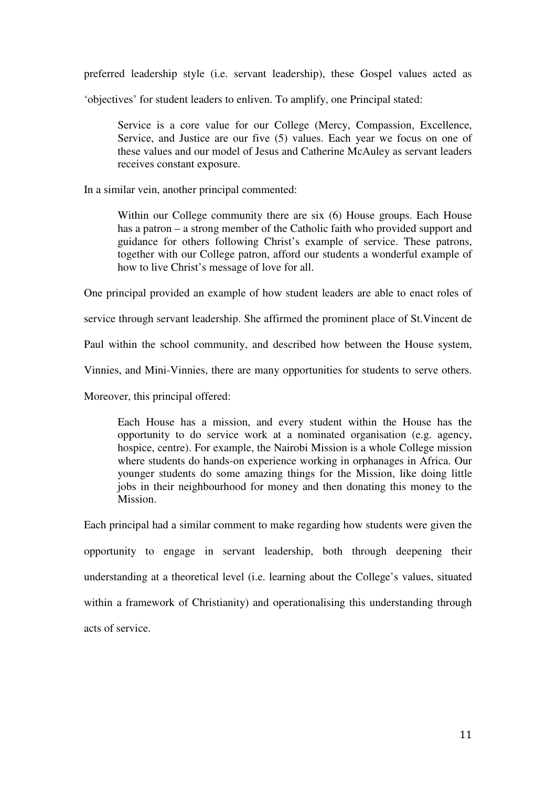preferred leadership style (i.e. servant leadership), these Gospel values acted as

'objectives' for student leaders to enliven. To amplify, one Principal stated:

 Service is a core value for our College (Mercy, Compassion, Excellence, Service, and Justice are our five (5) values. Each year we focus on one of these values and our model of Jesus and Catherine McAuley as servant leaders receives constant exposure.

In a similar vein, another principal commented:

 Within our College community there are six (6) House groups. Each House has a patron – a strong member of the Catholic faith who provided support and guidance for others following Christ's example of service. These patrons, together with our College patron, afford our students a wonderful example of how to live Christ's message of love for all.

One principal provided an example of how student leaders are able to enact roles of

service through servant leadership. She affirmed the prominent place of St.Vincent de

Paul within the school community, and described how between the House system,

Vinnies, and Mini-Vinnies, there are many opportunities for students to serve others.

Moreover, this principal offered:

 Each House has a mission, and every student within the House has the opportunity to do service work at a nominated organisation (e.g. agency, hospice, centre). For example, the Nairobi Mission is a whole College mission where students do hands-on experience working in orphanages in Africa. Our younger students do some amazing things for the Mission, like doing little jobs in their neighbourhood for money and then donating this money to the Mission.

Each principal had a similar comment to make regarding how students were given the opportunity to engage in servant leadership, both through deepening their understanding at a theoretical level (i.e. learning about the College's values, situated within a framework of Christianity) and operationalising this understanding through acts of service.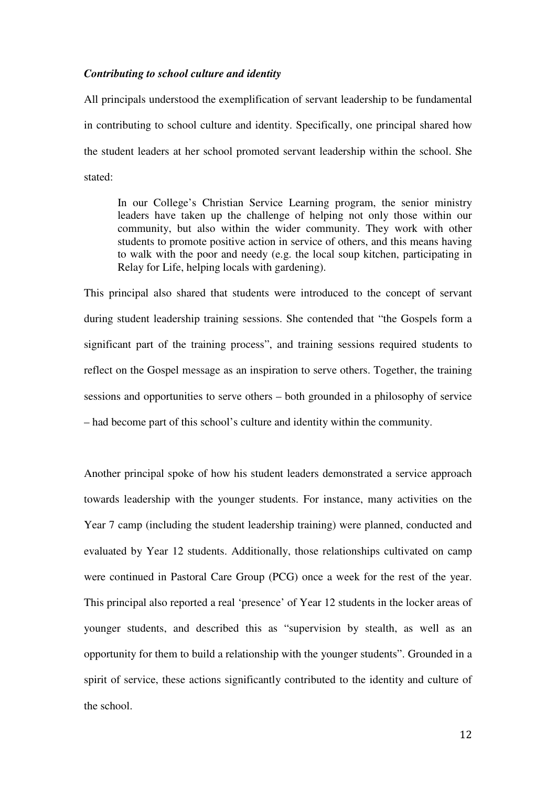# *Contributing to school culture and identity*

All principals understood the exemplification of servant leadership to be fundamental in contributing to school culture and identity. Specifically, one principal shared how the student leaders at her school promoted servant leadership within the school. She stated:

 In our College's Christian Service Learning program, the senior ministry leaders have taken up the challenge of helping not only those within our community, but also within the wider community. They work with other students to promote positive action in service of others, and this means having to walk with the poor and needy (e.g. the local soup kitchen, participating in Relay for Life, helping locals with gardening).

This principal also shared that students were introduced to the concept of servant during student leadership training sessions. She contended that "the Gospels form a significant part of the training process", and training sessions required students to reflect on the Gospel message as an inspiration to serve others. Together, the training sessions and opportunities to serve others – both grounded in a philosophy of service – had become part of this school's culture and identity within the community.

Another principal spoke of how his student leaders demonstrated a service approach towards leadership with the younger students. For instance, many activities on the Year 7 camp (including the student leadership training) were planned, conducted and evaluated by Year 12 students. Additionally, those relationships cultivated on camp were continued in Pastoral Care Group (PCG) once a week for the rest of the year. This principal also reported a real 'presence' of Year 12 students in the locker areas of younger students, and described this as "supervision by stealth, as well as an opportunity for them to build a relationship with the younger students". Grounded in a spirit of service, these actions significantly contributed to the identity and culture of the school.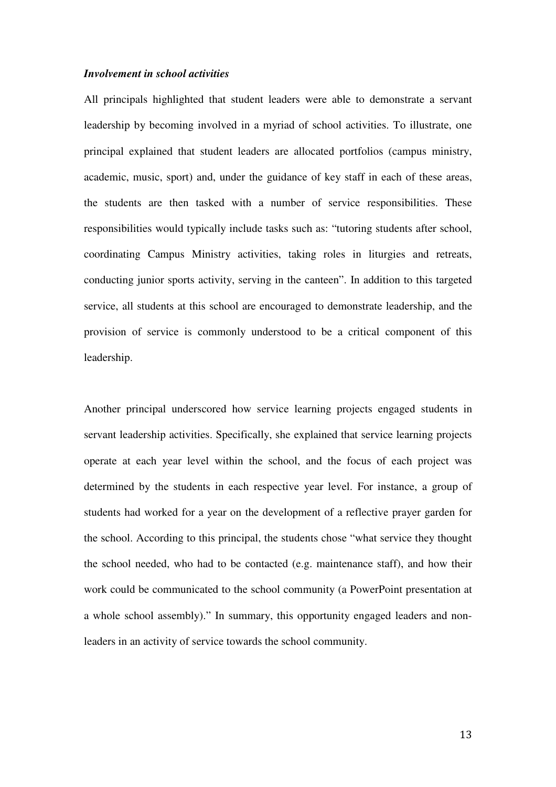### *Involvement in school activities*

All principals highlighted that student leaders were able to demonstrate a servant leadership by becoming involved in a myriad of school activities. To illustrate, one principal explained that student leaders are allocated portfolios (campus ministry, academic, music, sport) and, under the guidance of key staff in each of these areas, the students are then tasked with a number of service responsibilities. These responsibilities would typically include tasks such as: "tutoring students after school, coordinating Campus Ministry activities, taking roles in liturgies and retreats, conducting junior sports activity, serving in the canteen". In addition to this targeted service, all students at this school are encouraged to demonstrate leadership, and the provision of service is commonly understood to be a critical component of this leadership.

Another principal underscored how service learning projects engaged students in servant leadership activities. Specifically, she explained that service learning projects operate at each year level within the school, and the focus of each project was determined by the students in each respective year level. For instance, a group of students had worked for a year on the development of a reflective prayer garden for the school. According to this principal, the students chose "what service they thought the school needed, who had to be contacted (e.g. maintenance staff), and how their work could be communicated to the school community (a PowerPoint presentation at a whole school assembly)." In summary, this opportunity engaged leaders and nonleaders in an activity of service towards the school community.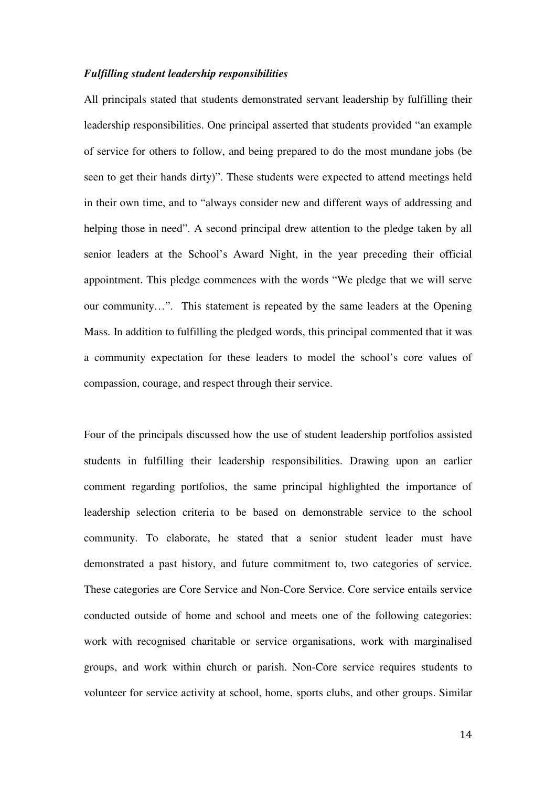### *Fulfilling student leadership responsibilities*

All principals stated that students demonstrated servant leadership by fulfilling their leadership responsibilities. One principal asserted that students provided "an example of service for others to follow, and being prepared to do the most mundane jobs (be seen to get their hands dirty)". These students were expected to attend meetings held in their own time, and to "always consider new and different ways of addressing and helping those in need". A second principal drew attention to the pledge taken by all senior leaders at the School's Award Night, in the year preceding their official appointment. This pledge commences with the words "We pledge that we will serve our community…". This statement is repeated by the same leaders at the Opening Mass. In addition to fulfilling the pledged words, this principal commented that it was a community expectation for these leaders to model the school's core values of compassion, courage, and respect through their service.

Four of the principals discussed how the use of student leadership portfolios assisted students in fulfilling their leadership responsibilities. Drawing upon an earlier comment regarding portfolios, the same principal highlighted the importance of leadership selection criteria to be based on demonstrable service to the school community. To elaborate, he stated that a senior student leader must have demonstrated a past history, and future commitment to, two categories of service. These categories are Core Service and Non-Core Service. Core service entails service conducted outside of home and school and meets one of the following categories: work with recognised charitable or service organisations, work with marginalised groups, and work within church or parish. Non-Core service requires students to volunteer for service activity at school, home, sports clubs, and other groups. Similar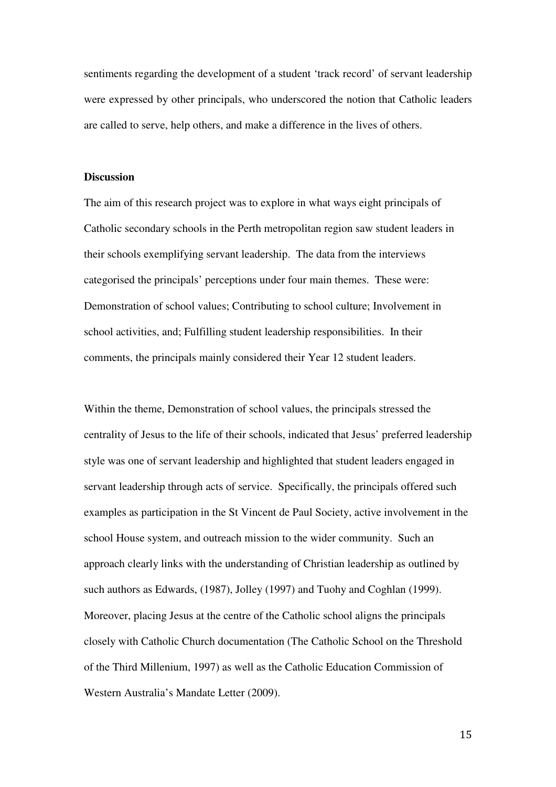sentiments regarding the development of a student 'track record' of servant leadership were expressed by other principals, who underscored the notion that Catholic leaders are called to serve, help others, and make a difference in the lives of others.

#### **Discussion**

The aim of this research project was to explore in what ways eight principals of Catholic secondary schools in the Perth metropolitan region saw student leaders in their schools exemplifying servant leadership. The data from the interviews categorised the principals' perceptions under four main themes. These were: Demonstration of school values; Contributing to school culture; Involvement in school activities, and; Fulfilling student leadership responsibilities. In their comments, the principals mainly considered their Year 12 student leaders.

Within the theme, Demonstration of school values, the principals stressed the centrality of Jesus to the life of their schools, indicated that Jesus' preferred leadership style was one of servant leadership and highlighted that student leaders engaged in servant leadership through acts of service. Specifically, the principals offered such examples as participation in the St Vincent de Paul Society, active involvement in the school House system, and outreach mission to the wider community. Such an approach clearly links with the understanding of Christian leadership as outlined by such authors as Edwards, (1987), Jolley (1997) and Tuohy and Coghlan (1999). Moreover, placing Jesus at the centre of the Catholic school aligns the principals closely with Catholic Church documentation (The Catholic School on the Threshold of the Third Millenium, 1997) as well as the Catholic Education Commission of Western Australia's Mandate Letter (2009).

15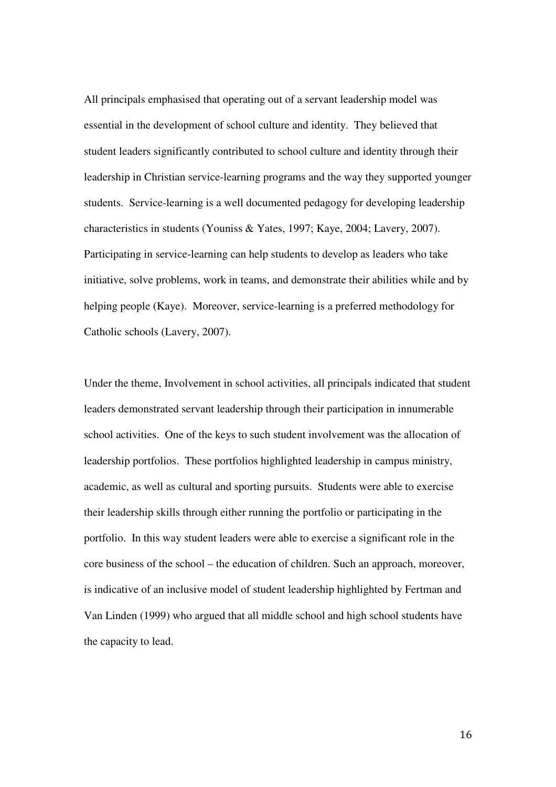All principals emphasised that operating out of a servant leadership model was essential in the development of school culture and identity. They believed that student leaders significantly contributed to school culture and identity through their leadership in Christian service-learning programs and the way they supported younger students. Service-learning is a well documented pedagogy for developing leadership characteristics in students (Youniss & Yates, 1997; Kaye, 2004; Lavery, 2007). Participating in service-learning can help students to develop as leaders who take initiative, solve problems, work in teams, and demonstrate their abilities while and by helping people (Kaye). Moreover, service-learning is a preferred methodology for Catholic schools (Lavery, 2007).

Under the theme, Involvement in school activities, all principals indicated that student leaders demonstrated servant leadership through their participation in innumerable school activities. One of the keys to such student involvement was the allocation of leadership portfolios. These portfolios highlighted leadership in campus ministry, academic, as well as cultural and sporting pursuits. Students were able to exercise their leadership skills through either running the portfolio or participating in the portfolio. In this way student leaders were able to exercise a significant role in the core business of the school – the education of children. Such an approach, moreover, is indicative of an inclusive model of student leadership highlighted by Fertman and Van Linden (1999) who argued that all middle school and high school students have the capacity to lead.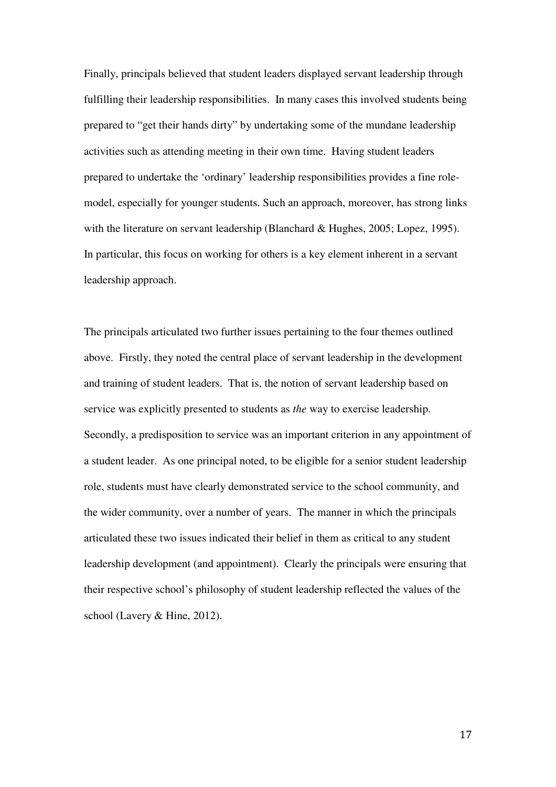Finally, principals believed that student leaders displayed servant leadership through fulfilling their leadership responsibilities. In many cases this involved students being prepared to "get their hands dirty" by undertaking some of the mundane leadership activities such as attending meeting in their own time. Having student leaders prepared to undertake the 'ordinary' leadership responsibilities provides a fine rolemodel, especially for younger students. Such an approach, moreover, has strong links with the literature on servant leadership (Blanchard & Hughes, 2005; Lopez, 1995). In particular, this focus on working for others is a key element inherent in a servant leadership approach.

The principals articulated two further issues pertaining to the four themes outlined above. Firstly, they noted the central place of servant leadership in the development and training of student leaders. That is, the notion of servant leadership based on service was explicitly presented to students as *the* way to exercise leadership. Secondly, a predisposition to service was an important criterion in any appointment of a student leader. As one principal noted, to be eligible for a senior student leadership role, students must have clearly demonstrated service to the school community, and the wider community, over a number of years. The manner in which the principals articulated these two issues indicated their belief in them as critical to any student leadership development (and appointment). Clearly the principals were ensuring that their respective school's philosophy of student leadership reflected the values of the school (Lavery & Hine, 2012).

17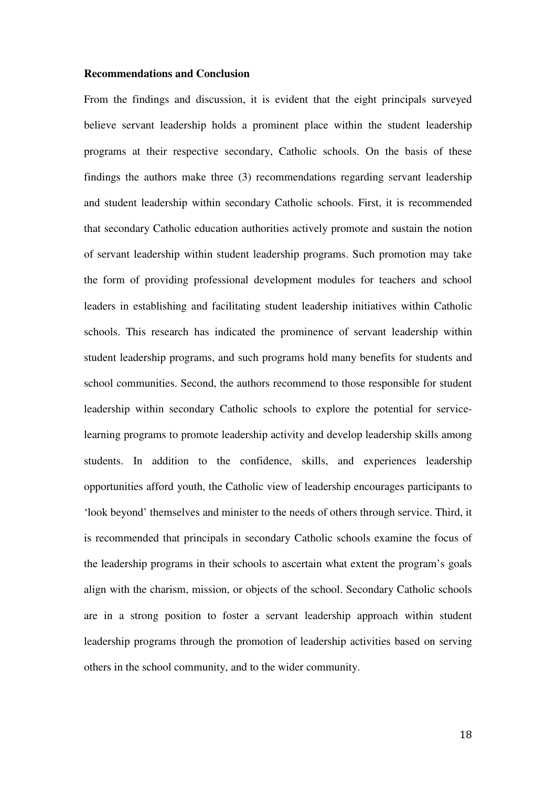### **Recommendations and Conclusion**

From the findings and discussion, it is evident that the eight principals surveyed believe servant leadership holds a prominent place within the student leadership programs at their respective secondary, Catholic schools. On the basis of these findings the authors make three (3) recommendations regarding servant leadership and student leadership within secondary Catholic schools. First, it is recommended that secondary Catholic education authorities actively promote and sustain the notion of servant leadership within student leadership programs. Such promotion may take the form of providing professional development modules for teachers and school leaders in establishing and facilitating student leadership initiatives within Catholic schools. This research has indicated the prominence of servant leadership within student leadership programs, and such programs hold many benefits for students and school communities. Second, the authors recommend to those responsible for student leadership within secondary Catholic schools to explore the potential for servicelearning programs to promote leadership activity and develop leadership skills among students. In addition to the confidence, skills, and experiences leadership opportunities afford youth, the Catholic view of leadership encourages participants to 'look beyond' themselves and minister to the needs of others through service. Third, it is recommended that principals in secondary Catholic schools examine the focus of the leadership programs in their schools to ascertain what extent the program's goals align with the charism, mission, or objects of the school. Secondary Catholic schools are in a strong position to foster a servant leadership approach within student leadership programs through the promotion of leadership activities based on serving others in the school community, and to the wider community.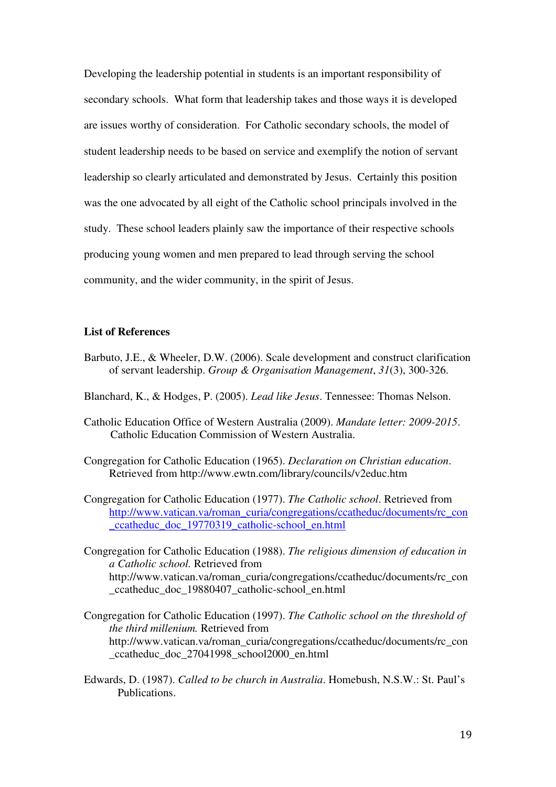Developing the leadership potential in students is an important responsibility of secondary schools. What form that leadership takes and those ways it is developed are issues worthy of consideration. For Catholic secondary schools, the model of student leadership needs to be based on service and exemplify the notion of servant leadership so clearly articulated and demonstrated by Jesus. Certainly this position was the one advocated by all eight of the Catholic school principals involved in the study. These school leaders plainly saw the importance of their respective schools producing young women and men prepared to lead through serving the school community, and the wider community, in the spirit of Jesus.

# **List of References**

- Barbuto, J.E., & Wheeler, D.W. (2006). Scale development and construct clarification of servant leadership. *Group & Organisation Management*, *31*(3), 300-326.
- Blanchard, K., & Hodges, P. (2005). *Lead like Jesus*. Tennessee: Thomas Nelson.
- Catholic Education Office of Western Australia (2009). *Mandate letter: 2009-2015*. Catholic Education Commission of Western Australia.
- Congregation for Catholic Education (1965). *Declaration on Christian education*. Retrieved from http://www.ewtn.com/library/councils/v2educ.htm
- Congregation for Catholic Education (1977). *The Catholic school*. Retrieved from http://www.vatican.va/roman\_curia/congregations/ccatheduc/documents/rc\_con \_ccatheduc\_doc\_19770319\_catholic-school\_en.html
- Congregation for Catholic Education (1988). *The religious dimension of education in a Catholic school.* Retrieved from http://www.vatican.va/roman\_curia/congregations/ccatheduc/documents/rc\_con \_ccatheduc\_doc\_19880407\_catholic-school\_en.html
- Congregation for Catholic Education (1997). *The Catholic school on the threshold of the third millenium.* Retrieved from http://www.vatican.va/roman\_curia/congregations/ccatheduc/documents/rc\_con \_ccatheduc\_doc\_27041998\_school2000\_en.html
- Edwards, D. (1987). *Called to be church in Australia*. Homebush, N.S.W.: St. Paul's Publications.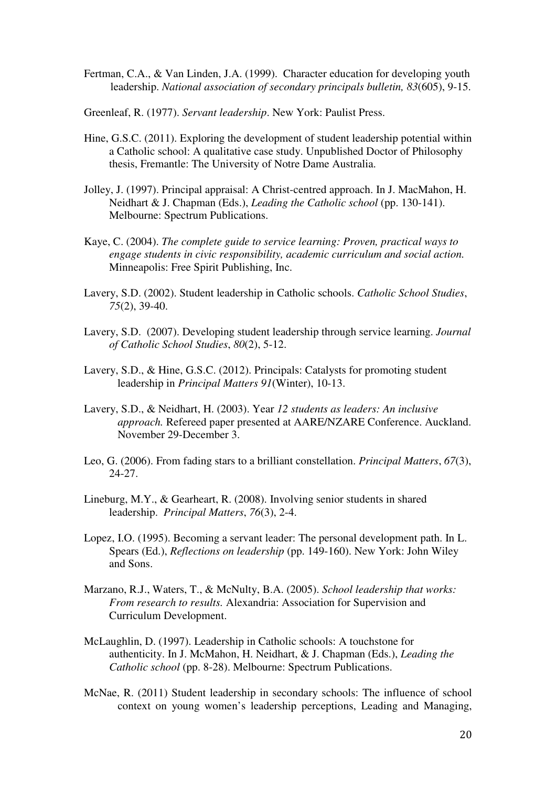- Fertman, C.A., & Van Linden, J.A. (1999). Character education for developing youth leadership. *National association of secondary principals bulletin, 83*(605), 9-15.
- Greenleaf, R. (1977). *Servant leadership*. New York: Paulist Press.
- Hine, G.S.C. (2011). Exploring the development of student leadership potential within a Catholic school: A qualitative case study. Unpublished Doctor of Philosophy thesis, Fremantle: The University of Notre Dame Australia.
- Jolley, J. (1997). Principal appraisal: A Christ-centred approach. In J. MacMahon, H. Neidhart & J. Chapman (Eds.), *Leading the Catholic school* (pp. 130-141). Melbourne: Spectrum Publications.
- Kaye, C. (2004). *The complete guide to service learning: Proven, practical ways to engage students in civic responsibility, academic curriculum and social action.*  Minneapolis: Free Spirit Publishing, Inc.
- Lavery, S.D. (2002). Student leadership in Catholic schools. *Catholic School Studies*, *75*(2), 39-40.
- Lavery, S.D. (2007). Developing student leadership through service learning. *Journal of Catholic School Studies*, *80*(2), 5-12.
- Lavery, S.D., & Hine, G.S.C. (2012). Principals: Catalysts for promoting student leadership in *Principal Matters 91*(Winter), 10-13.
- Lavery, S.D., & Neidhart, H. (2003). Year *12 students as leaders: An inclusive approach.* Refereed paper presented at AARE/NZARE Conference. Auckland. November 29-December 3.
- Leo, G. (2006). From fading stars to a brilliant constellation. *Principal Matters*, *67*(3), 24-27.
- Lineburg, M.Y., & Gearheart, R. (2008). Involving senior students in shared leadership. *Principal Matters*, *76*(3), 2-4.
- Lopez, I.O. (1995). Becoming a servant leader: The personal development path. In L. Spears (Ed.), *Reflections on leadership* (pp. 149-160). New York: John Wiley and Sons.
- Marzano, R.J., Waters, T., & McNulty, B.A. (2005). *School leadership that works: From research to results.* Alexandria: Association for Supervision and Curriculum Development.
- McLaughlin, D. (1997). Leadership in Catholic schools: A touchstone for authenticity. In J. McMahon, H. Neidhart, & J. Chapman (Eds.), *Leading the Catholic school* (pp. 8-28). Melbourne: Spectrum Publications.
- McNae, R. (2011) Student leadership in secondary schools: The influence of school context on young women's leadership perceptions, Leading and Managing,